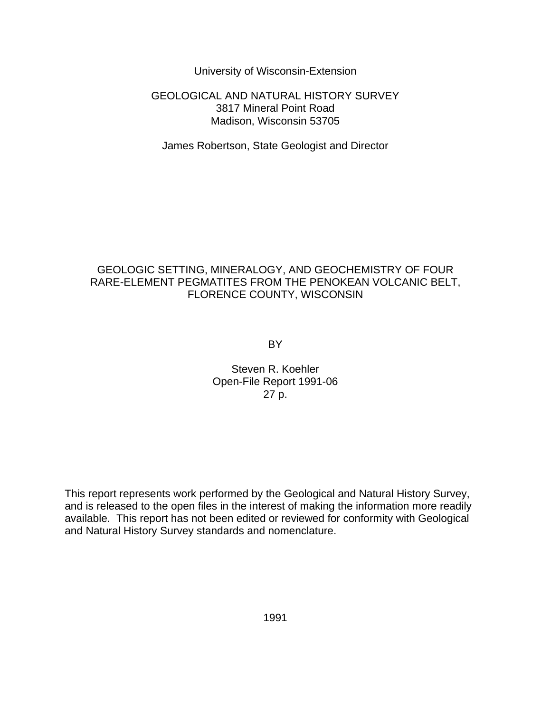University of Wisconsin-Extension

## GEOLOGICAL AND NATURAL HISTORY SURVEY 3817 Mineral Point Road Madison, Wisconsin 53705

James Robertson, State Geologist and Director

# GEOLOGIC SETTING, MINERALOGY, AND GEOCHEMISTRY OF FOUR RARE-ELEMENT PEGMATITES FROM THE PENOKEAN VOLCANIC BELT, FLORENCE COUNTY, WISCONSIN

BY

# Steven R. Koehler Open-File Report 1991-06 27 p.

This report represents work performed by the Geological and Natural History Survey, and is released to the open files in the interest of making the information more readily available. This report has not been edited or reviewed for conformity with Geological and Natural History Survey standards and nomenclature.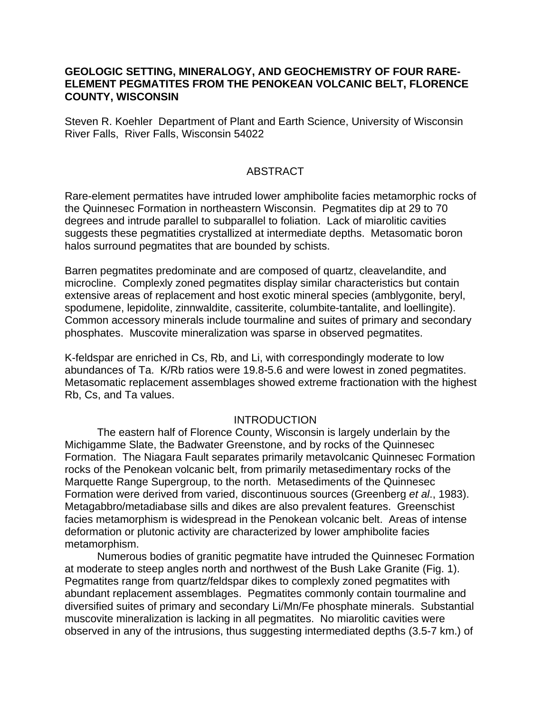# **GEOLOGIC SETTING, MINERALOGY, AND GEOCHEMISTRY OF FOUR RARE-ELEMENT PEGMATITES FROM THE PENOKEAN VOLCANIC BELT, FLORENCE COUNTY, WISCONSIN**

Steven R. Koehler Department of Plant and Earth Science, University of Wisconsin River Falls, River Falls, Wisconsin 54022

## ABSTRACT

Rare-element permatites have intruded lower amphibolite facies metamorphic rocks of the Quinnesec Formation in northeastern Wisconsin. Pegmatites dip at 29 to 70 degrees and intrude parallel to subparallel to foliation. Lack of miarolitic cavities suggests these pegmatities crystallized at intermediate depths. Metasomatic boron halos surround pegmatites that are bounded by schists.

Barren pegmatites predominate and are composed of quartz, cleavelandite, and microcline. Complexly zoned pegmatites display similar characteristics but contain extensive areas of replacement and host exotic mineral species (amblygonite, beryl, spodumene, lepidolite, zinnwaldite, cassiterite, columbite-tantalite, and loellingite). Common accessory minerals include tourmaline and suites of primary and secondary phosphates. Muscovite mineralization was sparse in observed pegmatites.

K-feldspar are enriched in Cs, Rb, and Li, with correspondingly moderate to low abundances of Ta. K/Rb ratios were 19.8-5.6 and were lowest in zoned pegmatites. Metasomatic replacement assemblages showed extreme fractionation with the highest Rb, Cs, and Ta values.

## **INTRODUCTION**

The eastern half of Florence County, Wisconsin is largely underlain by the Michigamme Slate, the Badwater Greenstone, and by rocks of the Quinnesec Formation. The Niagara Fault separates primarily metavolcanic Quinnesec Formation rocks of the Penokean volcanic belt, from primarily metasedimentary rocks of the Marquette Range Supergroup, to the north. Metasediments of the Quinnesec Formation were derived from varied, discontinuous sources (Greenberg *et al*., 1983). Metagabbro/metadiabase sills and dikes are also prevalent features. Greenschist facies metamorphism is widespread in the Penokean volcanic belt. Areas of intense deformation or plutonic activity are characterized by lower amphibolite facies metamorphism.

Numerous bodies of granitic pegmatite have intruded the Quinnesec Formation at moderate to steep angles north and northwest of the Bush Lake Granite (Fig. 1). Pegmatites range from quartz/feldspar dikes to complexly zoned pegmatites with abundant replacement assemblages. Pegmatites commonly contain tourmaline and diversified suites of primary and secondary Li/Mn/Fe phosphate minerals. Substantial muscovite mineralization is lacking in all pegmatites. No miarolitic cavities were observed in any of the intrusions, thus suggesting intermediated depths (3.5-7 km.) of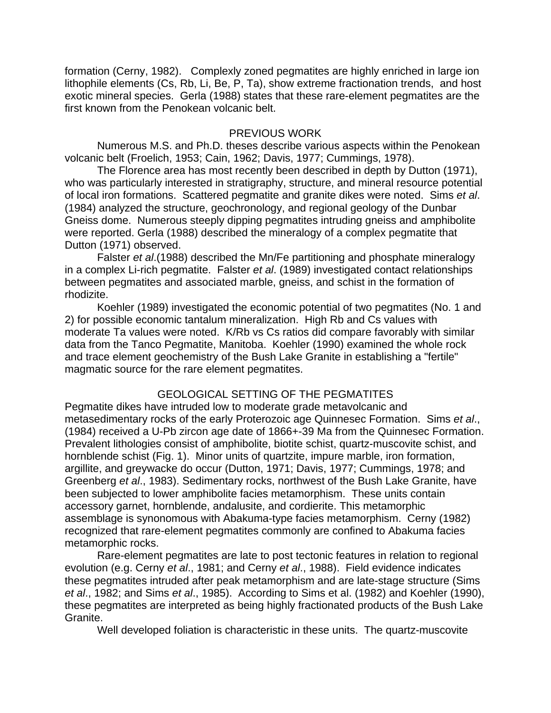formation (Cerny, 1982). Complexly zoned pegmatites are highly enriched in large ion lithophile elements (Cs, Rb, Li, Be, P, Ta), show extreme fractionation trends, and host exotic mineral species. Gerla (1988) states that these rare-element pegmatites are the first known from the Penokean volcanic belt.

## PREVIOUS WORK

Numerous M.S. and Ph.D. theses describe various aspects within the Penokean volcanic belt (Froelich, 1953; Cain, 1962; Davis, 1977; Cummings, 1978).

The Florence area has most recently been described in depth by Dutton (1971), who was particularly interested in stratigraphy, structure, and mineral resource potential of local iron formations. Scattered pegmatite and granite dikes were noted. Sims *et al*. (1984) analyzed the structure, geochronology, and regional geology of the Dunbar Gneiss dome. Numerous steeply dipping pegmatites intruding gneiss and amphibolite were reported. Gerla (1988) described the mineralogy of a complex pegmatite that Dutton (1971) observed.

Falster *et al*.(1988) described the Mn/Fe partitioning and phosphate mineralogy in a complex Li-rich pegmatite. Falster *et al*. (1989) investigated contact relationships between pegmatites and associated marble, gneiss, and schist in the formation of rhodizite.

Koehler (1989) investigated the economic potential of two pegmatites (No. 1 and 2) for possible economic tantalum mineralization. High Rb and Cs values with moderate Ta values were noted. K/Rb vs Cs ratios did compare favorably with similar data from the Tanco Pegmatite, Manitoba. Koehler (1990) examined the whole rock and trace element geochemistry of the Bush Lake Granite in establishing a "fertile" magmatic source for the rare element pegmatites.

# GEOLOGICAL SETTING OF THE PEGMATITES

Pegmatite dikes have intruded low to moderate grade metavolcanic and metasedimentary rocks of the early Proterozoic age Quinnesec Formation. Sims *et al*., (1984) received a U-Pb zircon age date of 1866+-39 Ma from the Quinnesec Formation. Prevalent lithologies consist of amphibolite, biotite schist, quartz-muscovite schist, and hornblende schist (Fig. 1). Minor units of quartzite, impure marble, iron formation, argillite, and greywacke do occur (Dutton, 1971; Davis, 1977; Cummings, 1978; and Greenberg *et al*., 1983). Sedimentary rocks, northwest of the Bush Lake Granite, have been subjected to lower amphibolite facies metamorphism. These units contain accessory garnet, hornblende, andalusite, and cordierite. This metamorphic assemblage is synonomous with Abakuma-type facies metamorphism. Cerny (1982) recognized that rare-element pegmatites commonly are confined to Abakuma facies metamorphic rocks.

Rare-element pegmatites are late to post tectonic features in relation to regional evolution (e.g. Cerny *et al*., 1981; and Cerny *et al*., 1988). Field evidence indicates these pegmatites intruded after peak metamorphism and are late-stage structure (Sims *et al*., 1982; and Sims *et al*., 1985). According to Sims et al. (1982) and Koehler (1990), these pegmatites are interpreted as being highly fractionated products of the Bush Lake Granite.

Well developed foliation is characteristic in these units. The quartz-muscovite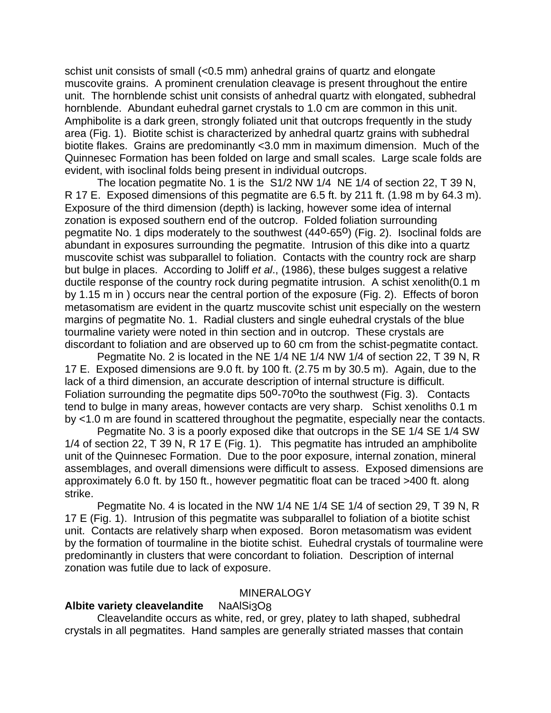schist unit consists of small (<0.5 mm) anhedral grains of quartz and elongate muscovite grains. A prominent crenulation cleavage is present throughout the entire unit. The hornblende schist unit consists of anhedral quartz with elongated, subhedral hornblende. Abundant euhedral garnet crystals to 1.0 cm are common in this unit. Amphibolite is a dark green, strongly foliated unit that outcrops frequently in the study area (Fig. 1). Biotite schist is characterized by anhedral quartz grains with subhedral biotite flakes. Grains are predominantly <3.0 mm in maximum dimension. Much of the Quinnesec Formation has been folded on large and small scales. Large scale folds are evident, with isoclinal folds being present in individual outcrops.

The location pegmatite No. 1 is the S1/2 NW 1/4 NE 1/4 of section 22, T 39 N, R 17 E. Exposed dimensions of this pegmatite are 6.5 ft. by 211 ft. (1.98 m by 64.3 m). Exposure of the third dimension (depth) is lacking, however some idea of internal zonation is exposed southern end of the outcrop. Folded foliation surrounding pegmatite No. 1 dips moderately to the southwest (44<sup>0</sup>-65<sup>0</sup>) (Fig. 2). Isoclinal folds are abundant in exposures surrounding the pegmatite. Intrusion of this dike into a quartz muscovite schist was subparallel to foliation. Contacts with the country rock are sharp but bulge in places. According to Joliff *et al*., (1986), these bulges suggest a relative ductile response of the country rock during pegmatite intrusion. A schist xenolith(0.1 m by 1.15 m in ) occurs near the central portion of the exposure (Fig. 2). Effects of boron metasomatism are evident in the quartz muscovite schist unit especially on the western margins of pegmatite No. 1. Radial clusters and single euhedral crystals of the blue tourmaline variety were noted in thin section and in outcrop. These crystals are discordant to foliation and are observed up to 60 cm from the schist-pegmatite contact.

Pegmatite No. 2 is located in the NE 1/4 NE 1/4 NW 1/4 of section 22, T 39 N, R 17 E. Exposed dimensions are 9.0 ft. by 100 ft. (2.75 m by 30.5 m). Again, due to the lack of a third dimension, an accurate description of internal structure is difficult. Foliation surrounding the pegmatite dips 50<sup>o</sup>-70<sup>o</sup>to the southwest (Fig. 3). Contacts tend to bulge in many areas, however contacts are very sharp. Schist xenoliths 0.1 m by <1.0 m are found in scattered throughout the pegmatite, especially near the contacts.

Pegmatite No. 3 is a poorly exposed dike that outcrops in the SE 1/4 SE 1/4 SW 1/4 of section 22, T 39 N, R 17 E (Fig. 1). This pegmatite has intruded an amphibolite unit of the Quinnesec Formation. Due to the poor exposure, internal zonation, mineral assemblages, and overall dimensions were difficult to assess. Exposed dimensions are approximately 6.0 ft. by 150 ft., however pegmatitic float can be traced >400 ft. along strike.

Pegmatite No. 4 is located in the NW 1/4 NE 1/4 SE 1/4 of section 29, T 39 N, R 17 E (Fig. 1). Intrusion of this pegmatite was subparallel to foliation of a biotite schist unit. Contacts are relatively sharp when exposed. Boron metasomatism was evident by the formation of tourmaline in the biotite schist. Euhedral crystals of tourmaline were predominantly in clusters that were concordant to foliation. Description of internal zonation was futile due to lack of exposure.

## **MINERALOGY**

## **Albite variety cleavelandite** NaAlSi3O8

Cleavelandite occurs as white, red, or grey, platey to lath shaped, subhedral crystals in all pegmatites. Hand samples are generally striated masses that contain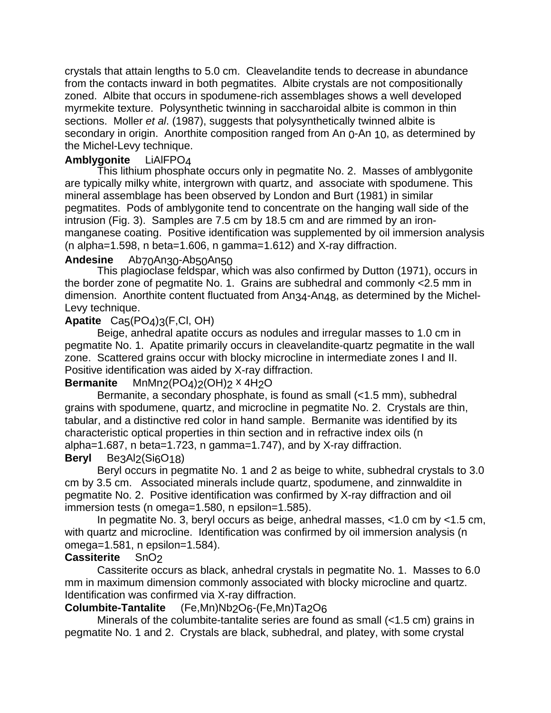crystals that attain lengths to 5.0 cm. Cleavelandite tends to decrease in abundance from the contacts inward in both pegmatites. Albite crystals are not compositionally zoned. Albite that occurs in spodumene-rich assemblages shows a well developed myrmekite texture. Polysynthetic twinning in saccharoidal albite is common in thin sections. Moller *et al*. (1987), suggests that polysynthetically twinned albite is secondary in origin. Anorthite composition ranged from An 0-An 10, as determined by the Michel-Levy technique.

# **Amblygonite** LiAlFPO4

This lithium phosphate occurs only in pegmatite No. 2. Masses of amblygonite are typically milky white, intergrown with quartz, and associate with spodumene. This mineral assemblage has been observed by London and Burt (1981) in similar pegmatites. Pods of amblygonite tend to concentrate on the hanging wall side of the intrusion (Fig. 3). Samples are 7.5 cm by 18.5 cm and are rimmed by an ironmanganese coating. Positive identification was supplemented by oil immersion analysis (n alpha=1.598, n beta=1.606, n gamma=1.612) and X-ray diffraction.

# **Andesine** Ab70An30-Ab50An50

This plagioclase feldspar, which was also confirmed by Dutton (1971), occurs in the border zone of pegmatite No. 1. Grains are subhedral and commonly <2.5 mm in dimension. Anorthite content fluctuated from An34-An48, as determined by the Michel-Levy technique.

# **Apatite** Ca5(PO4)3(F,Cl, OH)

Beige, anhedral apatite occurs as nodules and irregular masses to 1.0 cm in pegmatite No. 1. Apatite primarily occurs in cleavelandite-quartz pegmatite in the wall zone. Scattered grains occur with blocky microcline in intermediate zones I and II. Positive identification was aided by X-ray diffraction.

# **Bermanite** MnMn<sub>2</sub>(PO<sub>4</sub>)<sub>2</sub>(OH)<sub>2</sub> x 4H<sub>2</sub>O

Bermanite, a secondary phosphate, is found as small (<1.5 mm), subhedral grains with spodumene, quartz, and microcline in pegmatite No. 2. Crystals are thin, tabular, and a distinctive red color in hand sample. Bermanite was identified by its characteristic optical properties in thin section and in refractive index oils (n alpha=1.687, n beta=1.723, n gamma=1.747), and by X-ray diffraction.

# **Beryl** Be3Al<sub>2</sub>(Si<sub>6</sub>O<sub>18</sub>)

Beryl occurs in pegmatite No. 1 and 2 as beige to white, subhedral crystals to 3.0 cm by 3.5 cm. Associated minerals include quartz, spodumene, and zinnwaldite in pegmatite No. 2. Positive identification was confirmed by X-ray diffraction and oil immersion tests (n omega=1.580, n epsilon=1.585).

In pegmatite No. 3, beryl occurs as beige, anhedral masses, <1.0 cm by <1.5 cm, with quartz and microcline. Identification was confirmed by oil immersion analysis (n omega=1.581, n epsilon=1.584).

# **Cassiterite** SnO2

Cassiterite occurs as black, anhedral crystals in pegmatite No. 1. Masses to 6.0 mm in maximum dimension commonly associated with blocky microcline and quartz. Identification was confirmed via X-ray diffraction.

# **Columbite-Tantalite** (Fe,Mn)Nb2O6-(Fe,Mn)Ta2O6

Minerals of the columbite-tantalite series are found as small (<1.5 cm) grains in pegmatite No. 1 and 2. Crystals are black, subhedral, and platey, with some crystal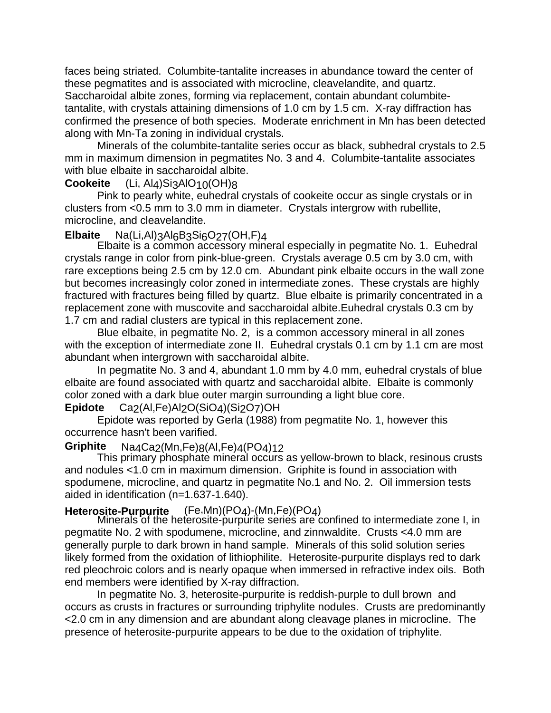faces being striated. Columbite-tantalite increases in abundance toward the center of these pegmatites and is associated with microcline, cleavelandite, and quartz. Saccharoidal albite zones, forming via replacement, contain abundant columbitetantalite, with crystals attaining dimensions of 1.0 cm by 1.5 cm. X-ray diffraction has confirmed the presence of both species. Moderate enrichment in Mn has been detected along with Mn-Ta zoning in individual crystals.

Minerals of the columbite-tantalite series occur as black, subhedral crystals to 2.5 mm in maximum dimension in pegmatites No. 3 and 4. Columbite-tantalite associates with blue elbaite in saccharoidal albite.

# **Cookeite** (Li, Al4)Si3AlO<sub>10</sub>(OH)<sub>8</sub>

Pink to pearly white, euhedral crystals of cookeite occur as single crystals or in clusters from <0.5 mm to 3.0 mm in diameter. Crystals intergrow with rubellite, microcline, and cleavelandite.

# **Elbaite** Na(Li,Al)3Al6B3Si6O27(OH,F)4

Elbaite is a common accessory mineral especially in pegmatite No. 1. Euhedral crystals range in color from pink-blue-green. Crystals average 0.5 cm by 3.0 cm, with rare exceptions being 2.5 cm by 12.0 cm. Abundant pink elbaite occurs in the wall zone but becomes increasingly color zoned in intermediate zones. These crystals are highly fractured with fractures being filled by quartz. Blue elbaite is primarily concentrated in a replacement zone with muscovite and saccharoidal albite.Euhedral crystals 0.3 cm by 1.7 cm and radial clusters are typical in this replacement zone.

Blue elbaite, in pegmatite No. 2, is a common accessory mineral in all zones with the exception of intermediate zone II. Euhedral crystals 0.1 cm by 1.1 cm are most abundant when intergrown with saccharoidal albite.

In pegmatite No. 3 and 4, abundant 1.0 mm by 4.0 mm, euhedral crystals of blue elbaite are found associated with quartz and saccharoidal albite. Elbaite is commonly color zoned with a dark blue outer margin surrounding a light blue core.

# **Epidote** Ca<sub>2</sub>(Al,Fe)Al<sub>2</sub>O(SiO<sub>4</sub>)(Si<sub>2</sub>O<sub>7</sub>)OH

Epidote was reported by Gerla (1988) from pegmatite No. 1, however this occurrence hasn't been varified.

# **Griphite** Na4Ca2(Mn,Fe)8(Al,Fe)4(PO4)12

This primary phosphate mineral occurs as yellow-brown to black, resinous crusts and nodules <1.0 cm in maximum dimension. Griphite is found in association with spodumene, microcline, and quartz in pegmatite No.1 and No. 2. Oil immersion tests aided in identification (n=1.637-1.640).

**Heterosite-Purpurite** (Fe,Mn)(PO4)-(Mn,Fe)(PO4) Minerals of the heterosite-purpurite series are confined to intermediate zone I, in pegmatite No. 2 with spodumene, microcline, and zinnwaldite. Crusts <4.0 mm are generally purple to dark brown in hand sample. Minerals of this solid solution series likely formed from the oxidation of lithiophilite. Heterosite-purpurite displays red to dark red pleochroic colors and is nearly opaque when immersed in refractive index oils. Both end members were identified by X-ray diffraction.

In pegmatite No. 3, heterosite-purpurite is reddish-purple to dull brown and occurs as crusts in fractures or surrounding triphylite nodules. Crusts are predominantly <2.0 cm in any dimension and are abundant along cleavage planes in microcline. The presence of heterosite-purpurite appears to be due to the oxidation of triphylite.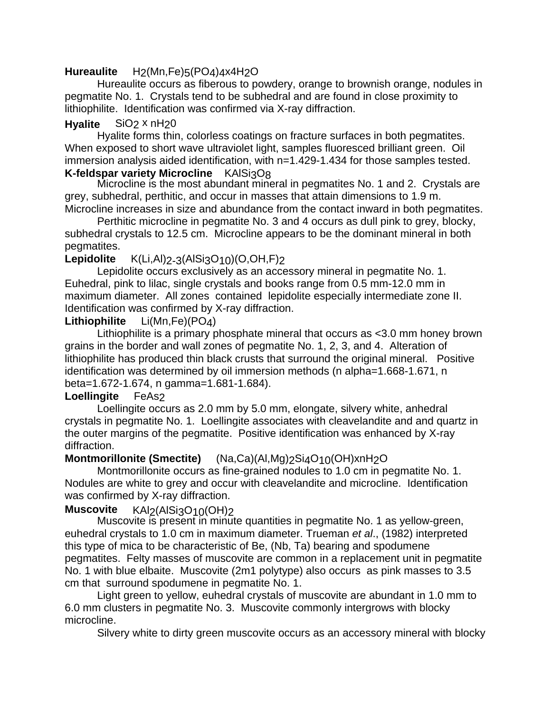# **Hureaulite** H2(Mn,Fe)5(PO4)4x4H2O

Hureaulite occurs as fiberous to powdery, orange to brownish orange, nodules in pegmatite No. 1. Crystals tend to be subhedral and are found in close proximity to lithiophilite. Identification was confirmed via X-ray diffraction.

# **Hyalite** SiO<sub>2</sub> x nH<sub>20</sub>

Hyalite forms thin, colorless coatings on fracture surfaces in both pegmatites. When exposed to short wave ultraviolet light, samples fluoresced brilliant green. Oil immersion analysis aided identification, with n=1.429-1.434 for those samples tested.

# **K-feldspar variety Microcline KAISi3O8**

Microcline is the most abundant mineral in pegmatites No. 1 and 2. Crystals are grey, subhedral, perthitic, and occur in masses that attain dimensions to 1.9 m. Microcline increases in size and abundance from the contact inward in both pegmatites.

Perthitic microcline in pegmatite No. 3 and 4 occurs as dull pink to grey, blocky, subhedral crystals to 12.5 cm. Microcline appears to be the dominant mineral in both pegmatites.

# **Lepidolite** K(Li,Al)<sub>2-3</sub>(AlSi<sub>3</sub>O<sub>10</sub>)(O,OH,F)<sub>2</sub>

Lepidolite occurs exclusively as an accessory mineral in pegmatite No. 1. Euhedral, pink to lilac, single crystals and books range from 0.5 mm-12.0 mm in maximum diameter. All zones contained lepidolite especially intermediate zone II. Identification was confirmed by X-ray diffraction.

# **Lithiophilite** Li(Mn,Fe)(PO4)

Lithiophilite is a primary phosphate mineral that occurs as <3.0 mm honey brown grains in the border and wall zones of pegmatite No. 1, 2, 3, and 4. Alteration of lithiophilite has produced thin black crusts that surround the original mineral. Positive identification was determined by oil immersion methods (n alpha=1.668-1.671, n beta=1.672-1.674, n gamma=1.681-1.684).

# **Loellingite FeAs2**

Loellingite occurs as 2.0 mm by 5.0 mm, elongate, silvery white, anhedral crystals in pegmatite No. 1. Loellingite associates with cleavelandite and and quartz in the outer margins of the pegmatite. Positive identification was enhanced by X-ray diffraction.

# **Montmorillonite (Smectite)** (Na,Ca)(Al,Mg)<sub>2</sub>Si<sub>4</sub>O<sub>10</sub>(OH)xnH<sub>2</sub>O

Montmorillonite occurs as fine-grained nodules to 1.0 cm in pegmatite No. 1. Nodules are white to grey and occur with cleavelandite and microcline. Identification was confirmed by X-ray diffraction.

# **Muscovite** KAI<sub>2</sub>(AISi3O<sub>10</sub>(OH)<sub>2</sub>

Muscovite is present in minute quantities in pegmatite No. 1 as yellow-green, euhedral crystals to 1.0 cm in maximum diameter. Trueman *et al*., (1982) interpreted this type of mica to be characteristic of Be, (Nb, Ta) bearing and spodumene pegmatites. Felty masses of muscovite are common in a replacement unit in pegmatite No. 1 with blue elbaite. Muscovite (2m1 polytype) also occurs as pink masses to 3.5 cm that surround spodumene in pegmatite No. 1.

Light green to yellow, euhedral crystals of muscovite are abundant in 1.0 mm to 6.0 mm clusters in pegmatite No. 3. Muscovite commonly intergrows with blocky microcline.

Silvery white to dirty green muscovite occurs as an accessory mineral with blocky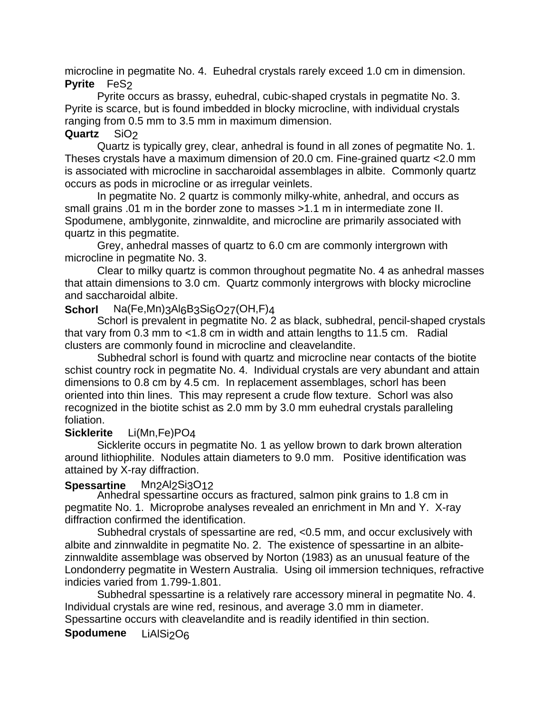microcline in pegmatite No. 4. Euhedral crystals rarely exceed 1.0 cm in dimension. **Pyrite FeS2** 

Pyrite occurs as brassy, euhedral, cubic-shaped crystals in pegmatite No. 3. Pyrite is scarce, but is found imbedded in blocky microcline, with individual crystals ranging from 0.5 mm to 3.5 mm in maximum dimension.

# **Quartz** SiO2

Quartz is typically grey, clear, anhedral is found in all zones of pegmatite No. 1. Theses crystals have a maximum dimension of 20.0 cm. Fine-grained quartz <2.0 mm is associated with microcline in saccharoidal assemblages in albite. Commonly quartz occurs as pods in microcline or as irregular veinlets.

In pegmatite No. 2 quartz is commonly milky-white, anhedral, and occurs as small grains .01 m in the border zone to masses >1.1 m in intermediate zone II. Spodumene, amblygonite, zinnwaldite, and microcline are primarily associated with quartz in this pegmatite.

Grey, anhedral masses of quartz to 6.0 cm are commonly intergrown with microcline in pegmatite No. 3.

Clear to milky quartz is common throughout pegmatite No. 4 as anhedral masses that attain dimensions to 3.0 cm. Quartz commonly intergrows with blocky microcline and saccharoidal albite.

# Schorl Na(Fe,Mn)3Al6B3Si6O27(OH,F)4

Schorl is prevalent in pegmatite No. 2 as black, subhedral, pencil-shaped crystals that vary from 0.3 mm to <1.8 cm in width and attain lengths to 11.5 cm. Radial clusters are commonly found in microcline and cleavelandite.

Subhedral schorl is found with quartz and microcline near contacts of the biotite schist country rock in pegmatite No. 4. Individual crystals are very abundant and attain dimensions to 0.8 cm by 4.5 cm. In replacement assemblages, schorl has been oriented into thin lines. This may represent a crude flow texture. Schorl was also recognized in the biotite schist as 2.0 mm by 3.0 mm euhedral crystals paralleling foliation.

# **Sicklerite** Li(Mn,Fe)PO4

Sicklerite occurs in pegmatite No. 1 as yellow brown to dark brown alteration around lithiophilite. Nodules attain diameters to 9.0 mm. Positive identification was attained by X-ray diffraction.

# **Spessartine** Mn<sub>2</sub>Al<sub>2</sub>Si<sub>3</sub>O<sub>12</sub>

Anhedral spessartine occurs as fractured, salmon pink grains to 1.8 cm in pegmatite No. 1. Microprobe analyses revealed an enrichment in Mn and Y. X-ray diffraction confirmed the identification.

Subhedral crystals of spessartine are red, <0.5 mm, and occur exclusively with albite and zinnwaldite in pegmatite No. 2. The existence of spessartine in an albitezinnwaldite assemblage was observed by Norton (1983) as an unusual feature of the Londonderry pegmatite in Western Australia. Using oil immersion techniques, refractive indicies varied from 1.799-1.801.

Subhedral spessartine is a relatively rare accessory mineral in pegmatite No. 4. Individual crystals are wine red, resinous, and average 3.0 mm in diameter. Spessartine occurs with cleavelandite and is readily identified in thin section.

# **Spodumene** LiAlSi<sub>2</sub>O<sub>6</sub>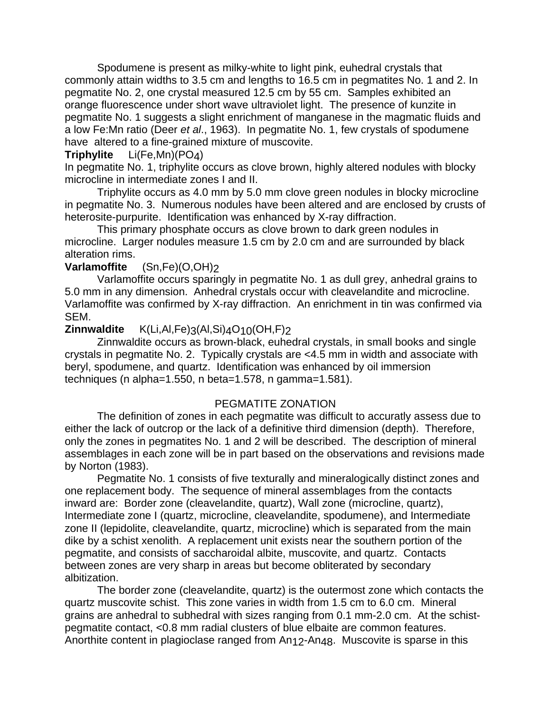Spodumene is present as milky-white to light pink, euhedral crystals that commonly attain widths to 3.5 cm and lengths to 16.5 cm in pegmatites No. 1 and 2. In pegmatite No. 2, one crystal measured 12.5 cm by 55 cm. Samples exhibited an orange fluorescence under short wave ultraviolet light. The presence of kunzite in pegmatite No. 1 suggests a slight enrichment of manganese in the magmatic fluids and a low Fe:Mn ratio (Deer *et al*., 1963). In pegmatite No. 1, few crystals of spodumene have altered to a fine-grained mixture of muscovite.

## **Triphylite** Li(Fe,Mn)(PO4)

In pegmatite No. 1, triphylite occurs as clove brown, highly altered nodules with blocky microcline in intermediate zones I and II.

Triphylite occurs as 4.0 mm by 5.0 mm clove green nodules in blocky microcline in pegmatite No. 3. Numerous nodules have been altered and are enclosed by crusts of heterosite-purpurite. Identification was enhanced by X-ray diffraction.

This primary phosphate occurs as clove brown to dark green nodules in microcline. Larger nodules measure 1.5 cm by 2.0 cm and are surrounded by black alteration rims.

# **Varlamoffite** (Sn,Fe)(O,OH)2

Varlamoffite occurs sparingly in pegmatite No. 1 as dull grey, anhedral grains to 5.0 mm in any dimension. Anhedral crystals occur with cleavelandite and microcline. Varlamoffite was confirmed by X-ray diffraction. An enrichment in tin was confirmed via SEM.

## **Zinnwaldite** K(Li,Al,Fe)3(Al,Si)4O10(OH,F)2

Zinnwaldite occurs as brown-black, euhedral crystals, in small books and single crystals in pegmatite No. 2. Typically crystals are <4.5 mm in width and associate with beryl, spodumene, and quartz. Identification was enhanced by oil immersion techniques (n alpha=1.550, n beta=1.578, n gamma=1.581).

## PEGMATITE ZONATION

The definition of zones in each pegmatite was difficult to accuratly assess due to either the lack of outcrop or the lack of a definitive third dimension (depth). Therefore, only the zones in pegmatites No. 1 and 2 will be described. The description of mineral assemblages in each zone will be in part based on the observations and revisions made by Norton (1983).

Pegmatite No. 1 consists of five texturally and mineralogically distinct zones and one replacement body. The sequence of mineral assemblages from the contacts inward are: Border zone (cleavelandite, quartz), Wall zone (microcline, quartz), Intermediate zone I (quartz, microcline, cleavelandite, spodumene), and Intermediate zone II (lepidolite, cleavelandite, quartz, microcline) which is separated from the main dike by a schist xenolith. A replacement unit exists near the southern portion of the pegmatite, and consists of saccharoidal albite, muscovite, and quartz. Contacts between zones are very sharp in areas but become obliterated by secondary albitization.

The border zone (cleavelandite, quartz) is the outermost zone which contacts the quartz muscovite schist. This zone varies in width from 1.5 cm to 6.0 cm. Mineral grains are anhedral to subhedral with sizes ranging from 0.1 mm-2.0 cm. At the schistpegmatite contact, <0.8 mm radial clusters of blue elbaite are common features. Anorthite content in plagioclase ranged from An12-An48. Muscovite is sparse in this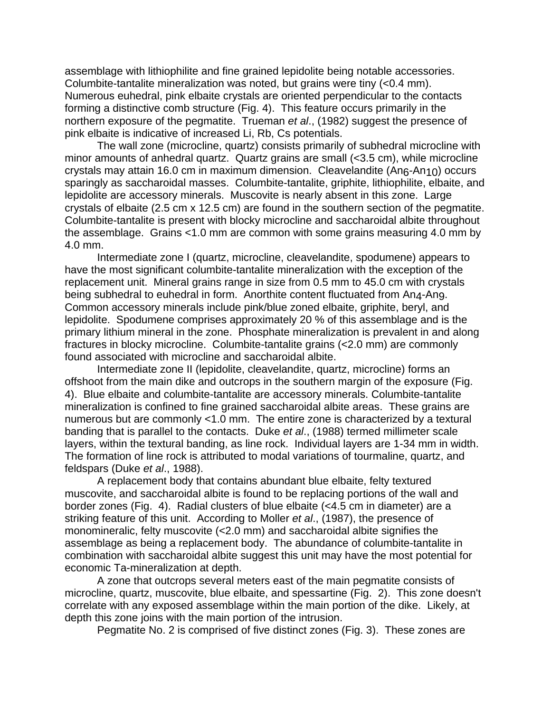assemblage with lithiophilite and fine grained lepidolite being notable accessories. Columbite-tantalite mineralization was noted, but grains were tiny (<0.4 mm). Numerous euhedral, pink elbaite crystals are oriented perpendicular to the contacts forming a distinctive comb structure (Fig. 4). This feature occurs primarily in the northern exposure of the pegmatite. Trueman *et al*., (1982) suggest the presence of pink elbaite is indicative of increased Li, Rb, Cs potentials.

The wall zone (microcline, quartz) consists primarily of subhedral microcline with minor amounts of anhedral quartz. Quartz grains are small (<3.5 cm), while microcline crystals may attain 16.0 cm in maximum dimension. Cleavelandite (An6-An10) occurs sparingly as saccharoidal masses. Columbite-tantalite, griphite, lithiophilite, elbaite, and lepidolite are accessory minerals. Muscovite is nearly absent in this zone. Large crystals of elbaite (2.5 cm x 12.5 cm) are found in the southern section of the pegmatite. Columbite-tantalite is present with blocky microcline and saccharoidal albite throughout the assemblage. Grains <1.0 mm are common with some grains measuring 4.0 mm by 4.0 mm.

Intermediate zone I (quartz, microcline, cleavelandite, spodumene) appears to have the most significant columbite-tantalite mineralization with the exception of the replacement unit. Mineral grains range in size from 0.5 mm to 45.0 cm with crystals being subhedral to euhedral in form. Anorthite content fluctuated from An4-An9. Common accessory minerals include pink/blue zoned elbaite, griphite, beryl, and lepidolite. Spodumene comprises approximately 20 % of this assemblage and is the primary lithium mineral in the zone. Phosphate mineralization is prevalent in and along fractures in blocky microcline. Columbite-tantalite grains (<2.0 mm) are commonly found associated with microcline and saccharoidal albite.

Intermediate zone II (lepidolite, cleavelandite, quartz, microcline) forms an offshoot from the main dike and outcrops in the southern margin of the exposure (Fig. 4). Blue elbaite and columbite-tantalite are accessory minerals. Columbite-tantalite mineralization is confined to fine grained saccharoidal albite areas. These grains are numerous but are commonly <1.0 mm. The entire zone is characterized by a textural banding that is parallel to the contacts. Duke *et al*., (1988) termed millimeter scale layers, within the textural banding, as line rock. Individual layers are 1-34 mm in width. The formation of line rock is attributed to modal variations of tourmaline, quartz, and feldspars (Duke *et al*., 1988).

A replacement body that contains abundant blue elbaite, felty textured muscovite, and saccharoidal albite is found to be replacing portions of the wall and border zones (Fig. 4). Radial clusters of blue elbaite (<4.5 cm in diameter) are a striking feature of this unit. According to Moller *et al*., (1987), the presence of monomineralic, felty muscovite (<2.0 mm) and saccharoidal albite signifies the assemblage as being a replacement body. The abundance of columbite-tantalite in combination with saccharoidal albite suggest this unit may have the most potential for economic Ta-mineralization at depth.

A zone that outcrops several meters east of the main pegmatite consists of microcline, quartz, muscovite, blue elbaite, and spessartine (Fig. 2). This zone doesn't correlate with any exposed assemblage within the main portion of the dike. Likely, at depth this zone joins with the main portion of the intrusion.

Pegmatite No. 2 is comprised of five distinct zones (Fig. 3). These zones are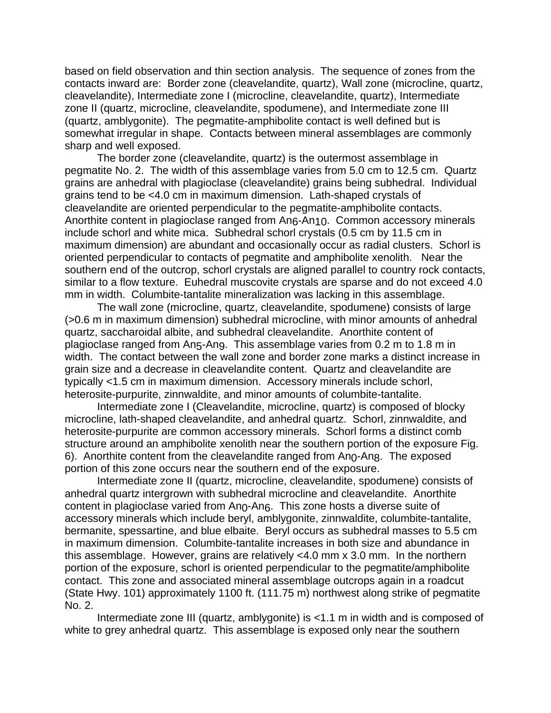based on field observation and thin section analysis. The sequence of zones from the contacts inward are: Border zone (cleavelandite, quartz), Wall zone (microcline, quartz, cleavelandite), Intermediate zone I (microcline, cleavelandite, quartz), Intermediate zone II (quartz, microcline, cleavelandite, spodumene), and Intermediate zone III (quartz, amblygonite). The pegmatite-amphibolite contact is well defined but is somewhat irregular in shape. Contacts between mineral assemblages are commonly sharp and well exposed.

The border zone (cleavelandite, quartz) is the outermost assemblage in pegmatite No. 2. The width of this assemblage varies from 5.0 cm to 12.5 cm. Quartz grains are anhedral with plagioclase (cleavelandite) grains being subhedral. Individual grains tend to be <4.0 cm in maximum dimension. Lath-shaped crystals of cleavelandite are oriented perpendicular to the pegmatite-amphibolite contacts. Anorthite content in plagioclase ranged from An<sub>6</sub>-An<sub>10</sub>. Common accessory minerals include schorl and white mica. Subhedral schorl crystals (0.5 cm by 11.5 cm in maximum dimension) are abundant and occasionally occur as radial clusters. Schorl is oriented perpendicular to contacts of pegmatite and amphibolite xenolith. Near the southern end of the outcrop, schorl crystals are aligned parallel to country rock contacts, similar to a flow texture. Euhedral muscovite crystals are sparse and do not exceed 4.0 mm in width. Columbite-tantalite mineralization was lacking in this assemblage.

The wall zone (microcline, quartz, cleavelandite, spodumene) consists of large (>0.6 m in maximum dimension) subhedral microcline, with minor amounts of anhedral quartz, saccharoidal albite, and subhedral cleavelandite. Anorthite content of plagioclase ranged from An5-An9. This assemblage varies from 0.2 m to 1.8 m in width. The contact between the wall zone and border zone marks a distinct increase in grain size and a decrease in cleavelandite content. Quartz and cleavelandite are typically <1.5 cm in maximum dimension. Accessory minerals include schorl, heterosite-purpurite, zinnwaldite, and minor amounts of columbite-tantalite.

Intermediate zone I (Cleavelandite, microcline, quartz) is composed of blocky microcline, lath-shaped cleavelandite, and anhedral quartz. Schorl, zinnwaldite, and heterosite-purpurite are common accessory minerals. Schorl forms a distinct comb structure around an amphibolite xenolith near the southern portion of the exposure Fig. 6). Anorthite content from the cleavelandite ranged from An0-An8. The exposed portion of this zone occurs near the southern end of the exposure.

Intermediate zone II (quartz, microcline, cleavelandite, spodumene) consists of anhedral quartz intergrown with subhedral microcline and cleavelandite. Anorthite content in plagioclase varied from Ano-Ano. This zone hosts a diverse suite of accessory minerals which include beryl, amblygonite, zinnwaldite, columbite-tantalite, bermanite, spessartine, and blue elbaite. Beryl occurs as subhedral masses to 5.5 cm in maximum dimension. Columbite-tantalite increases in both size and abundance in this assemblage. However, grains are relatively <4.0 mm x 3.0 mm. In the northern portion of the exposure, schorl is oriented perpendicular to the pegmatite/amphibolite contact. This zone and associated mineral assemblage outcrops again in a roadcut (State Hwy. 101) approximately 1100 ft. (111.75 m) northwest along strike of pegmatite No. 2.

Intermediate zone III (quartz, amblygonite) is <1.1 m in width and is composed of white to grey anhedral quartz. This assemblage is exposed only near the southern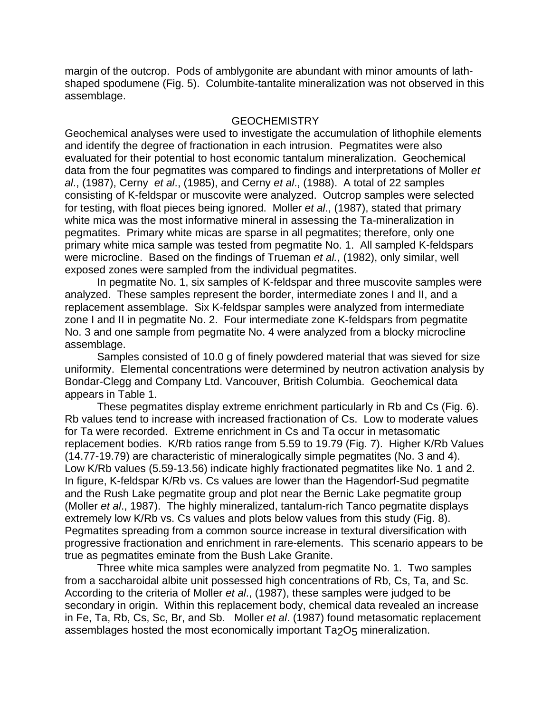margin of the outcrop. Pods of amblygonite are abundant with minor amounts of lathshaped spodumene (Fig. 5). Columbite-tantalite mineralization was not observed in this assemblage.

## **GEOCHEMISTRY**

Geochemical analyses were used to investigate the accumulation of lithophile elements and identify the degree of fractionation in each intrusion. Pegmatites were also evaluated for their potential to host economic tantalum mineralization. Geochemical data from the four pegmatites was compared to findings and interpretations of Moller *et al*., (1987), Cerny *et al*., (1985), and Cerny *et al*., (1988). A total of 22 samples consisting of K-feldspar or muscovite were analyzed. Outcrop samples were selected for testing, with float pieces being ignored. Moller *et al*., (1987), stated that primary white mica was the most informative mineral in assessing the Ta-mineralization in pegmatites. Primary white micas are sparse in all pegmatites; therefore, only one primary white mica sample was tested from pegmatite No. 1. All sampled K-feldspars were microcline. Based on the findings of Trueman *et al.*, (1982), only similar, well exposed zones were sampled from the individual pegmatites.

In pegmatite No. 1, six samples of K-feldspar and three muscovite samples were analyzed. These samples represent the border, intermediate zones I and II, and a replacement assemblage. Six K-feldspar samples were analyzed from intermediate zone I and II in pegmatite No. 2. Four intermediate zone K-feldspars from pegmatite No. 3 and one sample from pegmatite No. 4 were analyzed from a blocky microcline assemblage.

Samples consisted of 10.0 g of finely powdered material that was sieved for size uniformity. Elemental concentrations were determined by neutron activation analysis by Bondar-Clegg and Company Ltd. Vancouver, British Columbia. Geochemical data appears in Table 1.

These pegmatites display extreme enrichment particularly in Rb and Cs (Fig. 6). Rb values tend to increase with increased fractionation of Cs. Low to moderate values for Ta were recorded. Extreme enrichment in Cs and Ta occur in metasomatic replacement bodies. K/Rb ratios range from 5.59 to 19.79 (Fig. 7). Higher K/Rb Values (14.77-19.79) are characteristic of mineralogically simple pegmatites (No. 3 and 4). Low K/Rb values (5.59-13.56) indicate highly fractionated pegmatites like No. 1 and 2. In figure, K-feldspar K/Rb vs. Cs values are lower than the Hagendorf-Sud pegmatite and the Rush Lake pegmatite group and plot near the Bernic Lake pegmatite group (Moller *et al*., 1987). The highly mineralized, tantalum-rich Tanco pegmatite displays extremely low K/Rb vs. Cs values and plots below values from this study (Fig. 8). Pegmatites spreading from a common source increase in textural diversification with progressive fractionation and enrichment in rare-elements. This scenario appears to be true as pegmatites eminate from the Bush Lake Granite.

Three white mica samples were analyzed from pegmatite No. 1. Two samples from a saccharoidal albite unit possessed high concentrations of Rb, Cs, Ta, and Sc. According to the criteria of Moller *et al*., (1987), these samples were judged to be secondary in origin. Within this replacement body, chemical data revealed an increase in Fe, Ta, Rb, Cs, Sc, Br, and Sb. Moller *et al*. (1987) found metasomatic replacement assemblages hosted the most economically important Ta<sub>2</sub>O<sub>5</sub> mineralization.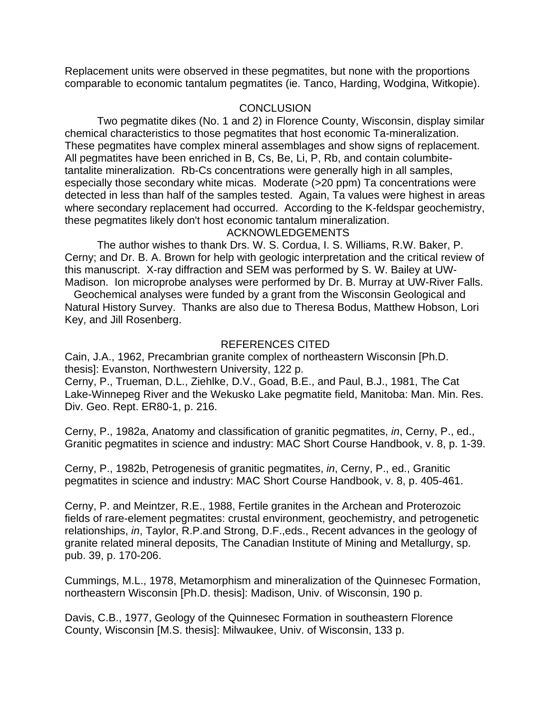Replacement units were observed in these pegmatites, but none with the proportions comparable to economic tantalum pegmatites (ie. Tanco, Harding, Wodgina, Witkopie).

# **CONCLUSION**

Two pegmatite dikes (No. 1 and 2) in Florence County, Wisconsin, display similar chemical characteristics to those pegmatites that host economic Ta-mineralization. These pegmatites have complex mineral assemblages and show signs of replacement. All pegmatites have been enriched in B, Cs, Be, Li, P, Rb, and contain columbitetantalite mineralization. Rb-Cs concentrations were generally high in all samples, especially those secondary white micas. Moderate (>20 ppm) Ta concentrations were detected in less than half of the samples tested. Again, Ta values were highest in areas where secondary replacement had occurred. According to the K-feldspar geochemistry, these pegmatites likely don't host economic tantalum mineralization. ACKNOWLEDGEMENTS

The author wishes to thank Drs. W. S. Cordua, I. S. Williams, R.W. Baker, P. Cerny; and Dr. B. A. Brown for help with geologic interpretation and the critical review of this manuscript. X-ray diffraction and SEM was performed by S. W. Bailey at UW-

Madison. Ion microprobe analyses were performed by Dr. B. Murray at UW-River Falls. Geochemical analyses were funded by a grant from the Wisconsin Geological and Natural History Survey. Thanks are also due to Theresa Bodus, Matthew Hobson, Lori Key, and Jill Rosenberg.

# REFERENCES CITED

Cain, J.A., 1962, Precambrian granite complex of northeastern Wisconsin [Ph.D. thesis]: Evanston, Northwestern University, 122 p.

Cerny, P., Trueman, D.L., Ziehlke, D.V., Goad, B.E., and Paul, B.J., 1981, The Cat Lake-Winnepeg River and the Wekusko Lake pegmatite field, Manitoba: Man. Min. Res. Div. Geo. Rept. ER80-1, p. 216.

Cerny, P., 1982a, Anatomy and classification of granitic pegmatites, *in*, Cerny, P., ed., Granitic pegmatites in science and industry: MAC Short Course Handbook, v. 8, p. 1-39.

Cerny, P., 1982b, Petrogenesis of granitic pegmatites, *in*, Cerny, P., ed., Granitic pegmatites in science and industry: MAC Short Course Handbook, v. 8, p. 405-461.

Cerny, P. and Meintzer, R.E., 1988, Fertile granites in the Archean and Proterozoic fields of rare-element pegmatites: crustal environment, geochemistry, and petrogenetic relationships, *in*, Taylor, R.P.and Strong, D.F.,eds., Recent advances in the geology of granite related mineral deposits, The Canadian Institute of Mining and Metallurgy, sp. pub. 39, p. 170-206.

Cummings, M.L., 1978, Metamorphism and mineralization of the Quinnesec Formation, northeastern Wisconsin [Ph.D. thesis]: Madison, Univ. of Wisconsin, 190 p.

Davis, C.B., 1977, Geology of the Quinnesec Formation in southeastern Florence County, Wisconsin [M.S. thesis]: Milwaukee, Univ. of Wisconsin, 133 p.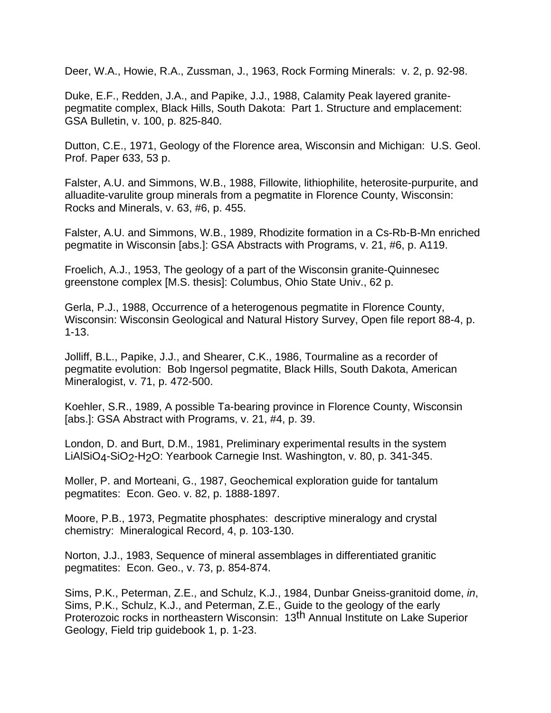Deer, W.A., Howie, R.A., Zussman, J., 1963, Rock Forming Minerals: v. 2, p. 92-98.

Duke, E.F., Redden, J.A., and Papike, J.J., 1988, Calamity Peak layered granitepegmatite complex, Black Hills, South Dakota: Part 1. Structure and emplacement: GSA Bulletin, v. 100, p. 825-840.

Dutton, C.E., 1971, Geology of the Florence area, Wisconsin and Michigan: U.S. Geol. Prof. Paper 633, 53 p.

Falster, A.U. and Simmons, W.B., 1988, Fillowite, lithiophilite, heterosite-purpurite, and alluadite-varulite group minerals from a pegmatite in Florence County, Wisconsin: Rocks and Minerals, v. 63, #6, p. 455.

Falster, A.U. and Simmons, W.B., 1989, Rhodizite formation in a Cs-Rb-B-Mn enriched pegmatite in Wisconsin [abs.]: GSA Abstracts with Programs, v. 21, #6, p. A119.

Froelich, A.J., 1953, The geology of a part of the Wisconsin granite-Quinnesec greenstone complex [M.S. thesis]: Columbus, Ohio State Univ., 62 p.

Gerla, P.J., 1988, Occurrence of a heterogenous pegmatite in Florence County, Wisconsin: Wisconsin Geological and Natural History Survey, Open file report 88-4, p. 1-13.

Jolliff, B.L., Papike, J.J., and Shearer, C.K., 1986, Tourmaline as a recorder of pegmatite evolution: Bob Ingersol pegmatite, Black Hills, South Dakota, American Mineralogist, v. 71, p. 472-500.

Koehler, S.R., 1989, A possible Ta-bearing province in Florence County, Wisconsin [abs.]: GSA Abstract with Programs, v. 21, #4, p. 39.

London, D. and Burt, D.M., 1981, Preliminary experimental results in the system LiAlSiO4-SiO2-H2O: Yearbook Carnegie Inst. Washington, v. 80, p. 341-345.

Moller, P. and Morteani, G., 1987, Geochemical exploration guide for tantalum pegmatites: Econ. Geo. v. 82, p. 1888-1897.

Moore, P.B., 1973, Pegmatite phosphates: descriptive mineralogy and crystal chemistry: Mineralogical Record, 4, p. 103-130.

Norton, J.J., 1983, Sequence of mineral assemblages in differentiated granitic pegmatites: Econ. Geo., v. 73, p. 854-874.

Sims, P.K., Peterman, Z.E., and Schulz, K.J., 1984, Dunbar Gneiss-granitoid dome, *in*, Sims, P.K., Schulz, K.J., and Peterman, Z.E., Guide to the geology of the early Proterozoic rocks in northeastern Wisconsin: 13<sup>th</sup> Annual Institute on Lake Superior Geology, Field trip guidebook 1, p. 1-23.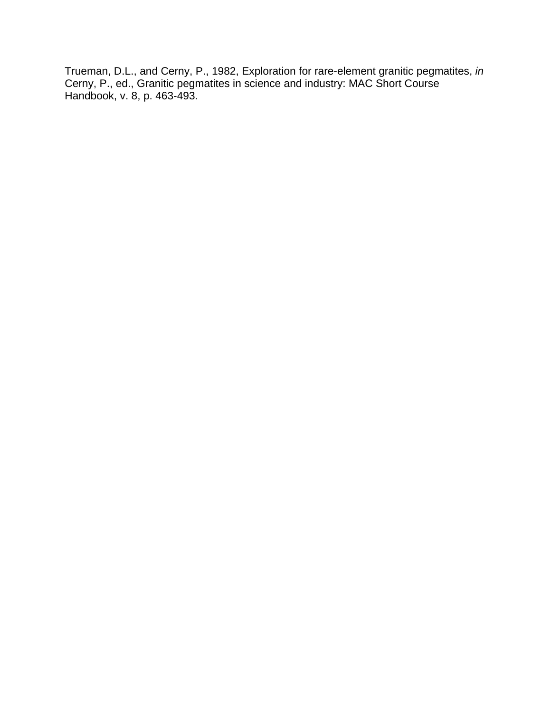Trueman, D.L., and Cerny, P., 1982, Exploration for rare-element granitic pegmatites, *in* Cerny, P., ed., Granitic pegmatites in science and industry: MAC Short Course Handbook, v. 8, p. 463-493.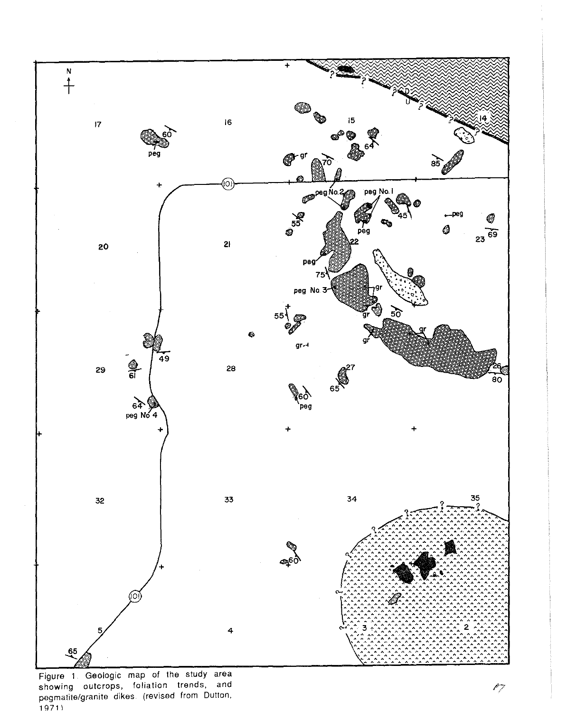

Figure 1. Geologic map of the study area showing outcrops, foliation trends, and<br>pegmatite/granite dikes (revised from Dutton,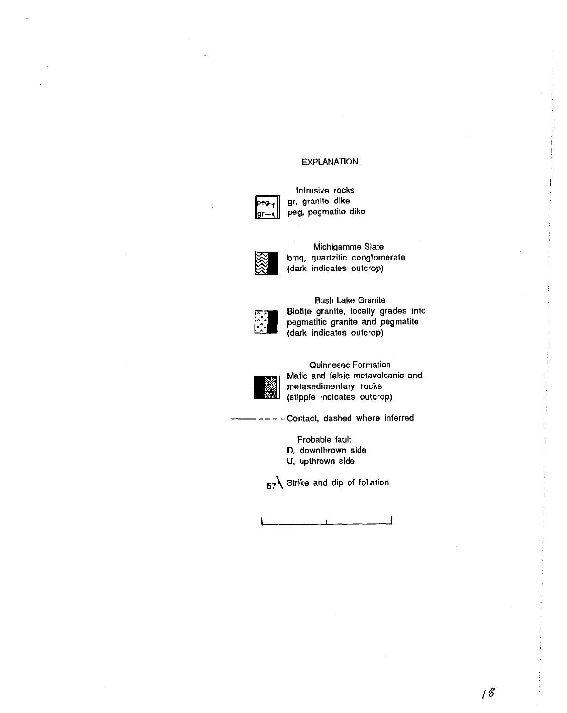### EXPLANATION



Intrusive rocks gr, granite dike peg, pegmatite dike



Michigamme Slate bmq, quartzitic conglomerate (dark indicates outcrop)



Bush Lake Granite Biotite granite, locally grades into pegmatitic granite and pegmatite (dark indicates outcrop)



Quinnesec Formation Mafic and felsic metavolcanic and metasedimentary rocks (stipple indicates outcrop)

- Contact, dashed where inferred

Probable fault

D. downthrown side

U, upthrown side

**57\** Strike and dip of foliation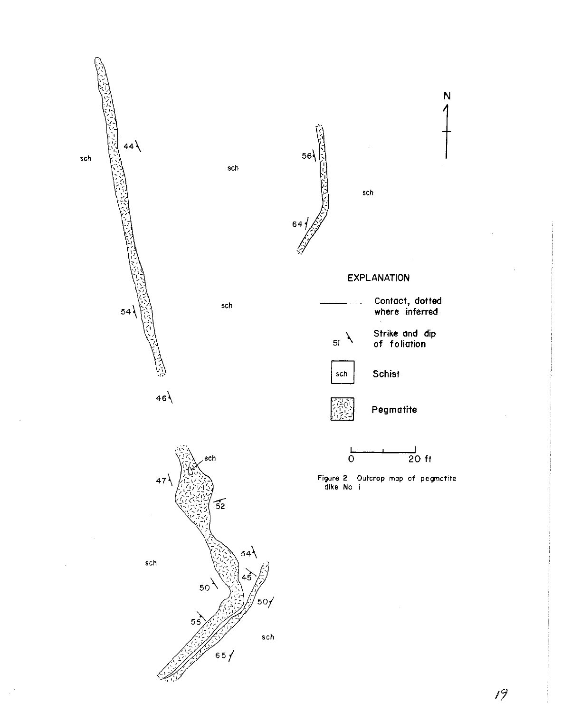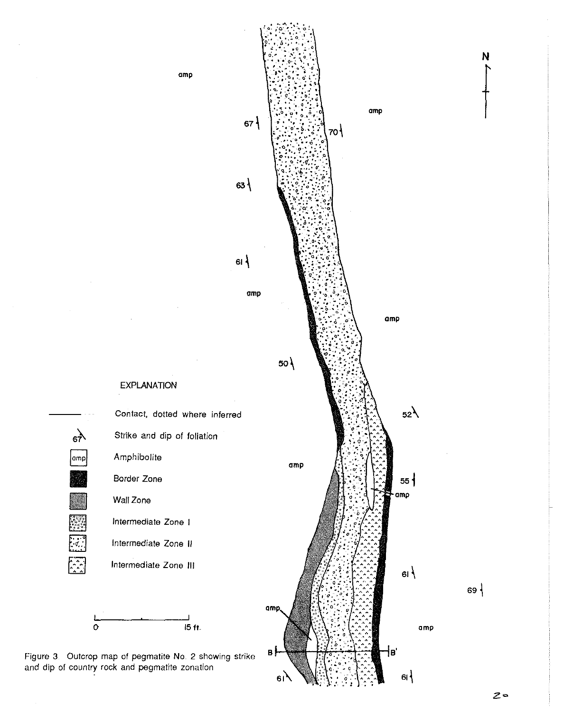

Figure 3. Outcrop map of pegmatite No. 2 showing strike and dip of country rock and pegmatite zonation

 $\frac{1}{67}$ 

 $\lvert$ amp $\lvert$ 

E

 $\sqrt{\frac{1}{2}}$ 

 $\sqrt{2}$ 

 $\pmb{\sigma}$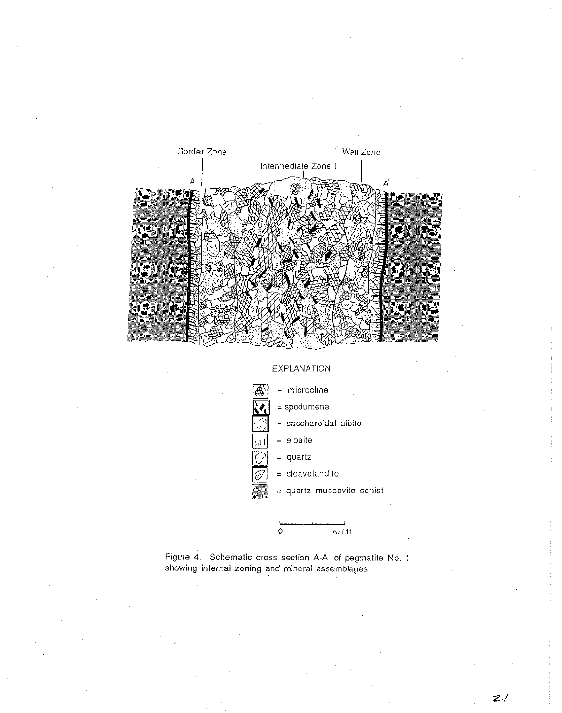

## EXPLANATION



 $\sim$  ift



 $\boldsymbol{z}$  /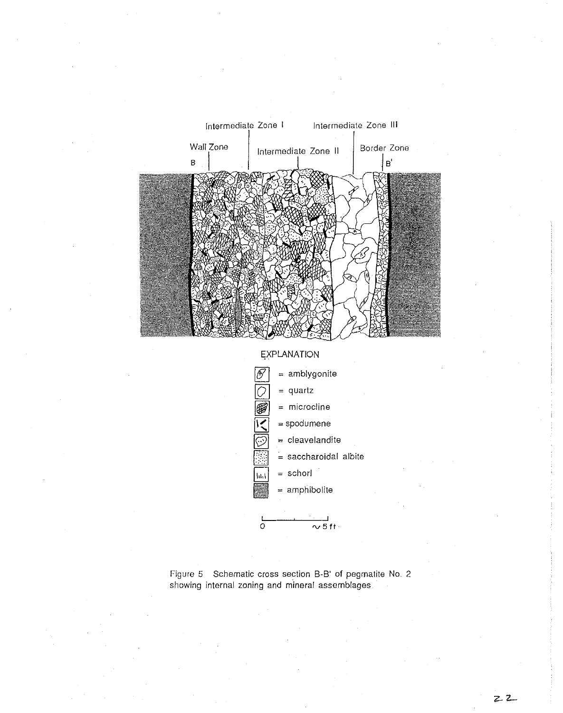

**EXPLANATION** 



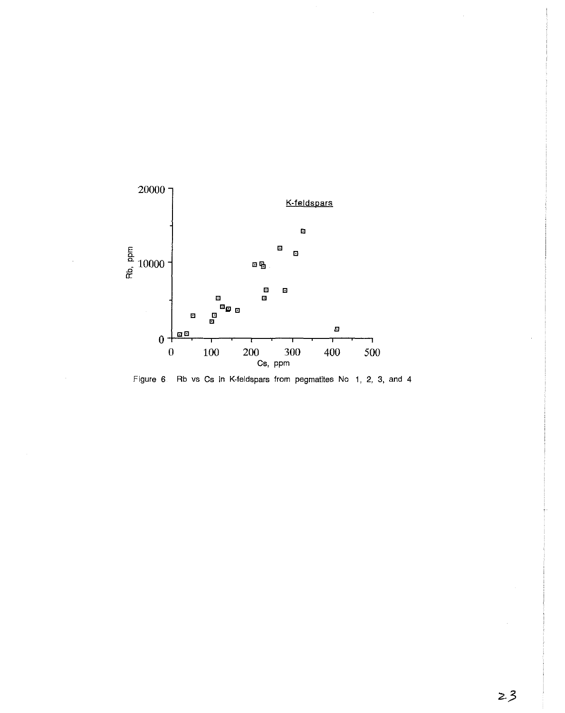

Figure 6. Rb vs Cs in K-feldspars from pegmatites No 1, 2, 3, and 4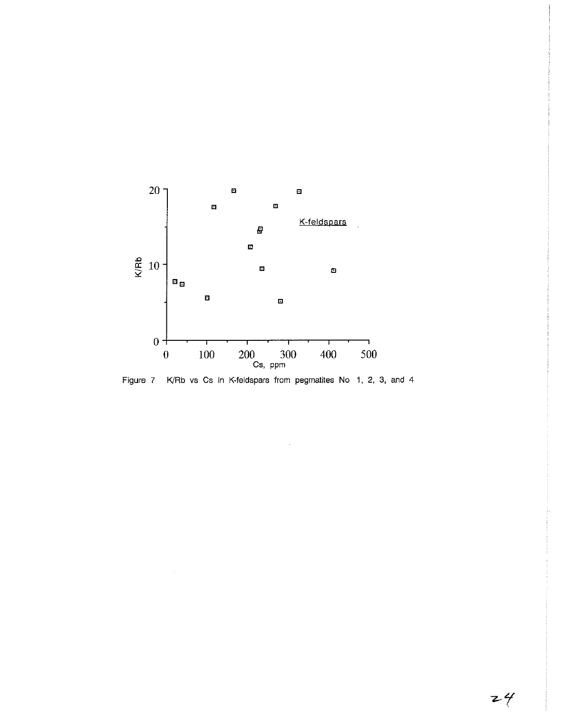

Figure 7 K/Rb vs Cs in K-feldspars from pegmatites No 1, 2, 3, and 4

 $\langle \omega \rangle$ 

 $\hat{\boldsymbol{\gamma}}$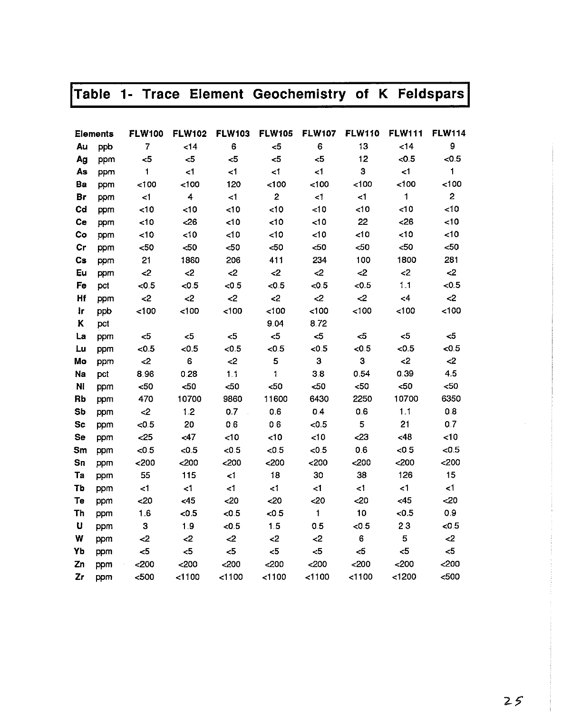|  |  |  |  | Table 1- Trace Element Geochemistry of K Feldspars |  |  |  |  |
|--|--|--|--|----------------------------------------------------|--|--|--|--|
|--|--|--|--|----------------------------------------------------|--|--|--|--|

|                | <b>Elements</b> | <b>FLW100</b>  | <b>FLW102</b> | <b>FLW103</b> | <b>FLW105</b>           | <b>FLW107</b> | <b>FLW110</b> | <b>FLW111</b> | <b>FLW114</b>  |
|----------------|-----------------|----------------|---------------|---------------|-------------------------|---------------|---------------|---------------|----------------|
| Au             | ppb             | $\overline{7}$ | <14           | 6             | 5                       | 6             | 13            | <14           | 9              |
| Ag             | ppm             | $\leq$         | $\leq$        | $\leq 5$      | 5                       | 5             | 12            | <0.5          | < 0.5          |
| As             | ppm             | 1              | $\leq$ 1      | $\leq$ 1      | $\leq 1$                | $\leq$ 1      | 3             | $\leq$ 1      | 1              |
| Ba             | ppm             | 100            | 100           | 120           | 100                     | 100           | 100           | 100           | < 100          |
| Br             | ppm             | $\leq$ 1       | 4             | < 1           | $\overline{\mathbf{c}}$ | $\leq 1$      | $\leq$        | $\mathbf{1}$  | $\overline{2}$ |
| Cd             | ppm             | <10            | < 10          | 10            | < 10                    | <10           | < 10          | <10           | <10            |
| Ce             | ppm             | <10            | $26$          | < 10          | <10                     | < 10          | 22            | < 26          | <10            |
| Co             | ppm             | <10            | $\lt 10$      | 10            | 10                      | < 10          | < 10          | 10            | <10            |
| Cr             | ppm             | $50$           | $50$          | $50$          | $50$                    | $50$          | $< 50$        | <50           | $50$           |
| $\mathbf{c}$ s | ppm             | 21             | 1860          | 206           | 411                     | 234           | 100           | 1800          | 281            |
| Eu             | ppm             | $\leq$         | $\leq$        | $\leq$        | $\mathbf{<}2$           | $\leq$        | $\leq$        | $\leq$        | $2$            |
| Fe             | pct             | < 0.5          | < 0.5         | < 0.5         | < 0.5                   | < 0.5         | < 0.5         | 1.1           | < 0.5          |
| Hf             | ppm             | $\leq$         | $\leq$        | $\mathbf{<}2$ | $\leq$                  | $\mathbf{C}$  | $\leq$        | $\leq$ 4      | $\leq$         |
| łг             | ppb             | < 100          | 100           | 100           | < 100                   | 100           | < 100         | 100           | 100            |
| Κ              | pct             |                |               |               | 9.04                    | 8.72          |               |               |                |
| La             | ppm             | $< \!\! 5$     | $\leq 5$      | $\leq 5$      | $\leq 5$                | $\leq 5$      | <5            | $<$ 5         | $<$ 5          |
| Lu             | ppm             | < 0.5          | < 0.5         | < 0.5         | < 0.5                   | < 0.5         | < 0.5         | < 0.5         | < 0.5          |
| Mo             | ppm             | <2             | 6             | -2            | 5                       | 3             | 3             | $\mathbf{<}2$ | $\leq$         |
| Na             | pct             | 8.96           | 0.28          | 1.1           | 1                       | 3.8           | 0.54          | 0.39          | 4.5            |
| Ni             | ppm             | $50$           | $50$          | $50$          | <50                     | $50$          | $50$          | <50           | $50$           |
| Rb             | ppm             | 470            | 10700         | 9860          | 11600                   | 6430          | 2250          | 10700         | 6350           |
| Sb             | ppm             | $\leq$         | 1.2           | 0.7           | 0.6                     | 0.4           | 0.6           | 1.1           | 0.8            |
| <b>Sc</b>      | ppm             | < 0.5          | 20            | 0.6           | 0.6                     | < 0.5         | 5             | 21            | 0.7            |
| <b>Se</b>      | ppm             | $25$           | < 47          | < 10          | < 10                    | 10            | 23            | <48           | $<$ 10         |
| Sm             | ppm             | < 0.5          | < 0.5         | < 0.5         | < 0.5                   | < 0.5         | 0.6           | < 0.5         | < 0.5          |
| Sn             | ppm             | $200$          | 200           | $200$         | 200                     | 200           | $<$ 200       | 200           | 200            |
| Ta             | ppm             | 55             | 115           | $\leq$        | 18                      | 30            | 38            | 126           | 15             |
| Tb             | ppm             | $\leq$         | $\leq$ 1      | $\leq$        | $\leq$                  | $<$ 1         | $\leq$        | $\leq 1$      | $\leq$ 1       |
| Te             | ppm             | <20            | <45           | $20$          | <20                     | <20           | 20            | <45           | <20            |
| Th             | ppm             | 1.6            | < 0.5         | < 0.5         | < 0.5                   | 1             | 10            | < 0.5         | 0.9            |
| U              | ppm             | 3              | 1.9           | < 0.5         | 1.5                     | 0.5           | < 0.5         | 23            | < 0.5          |
| W              | ppm             | $\leq$         | $\leq$        | $\leq$        | $\langle 2$             | $\leq$        | 6             | 5             | $\leq$         |
| Yb             | ppm             | $\leq 5$       | 5             | $\leq$        | $5$                     | $5$           | 5<            | $\leq$        | $<$ 5          |
| Zn             | ppm             | $200$          | $200$         | $200$         | 200                     | 200           | $200$         | $200$         | $<$ 200        |
| z <sub>r</sub> | ppm             | $500$          | < 1100        | < 1100        | $<$ 1100                | 1100          | < 1100        | < 1200        | $500$          |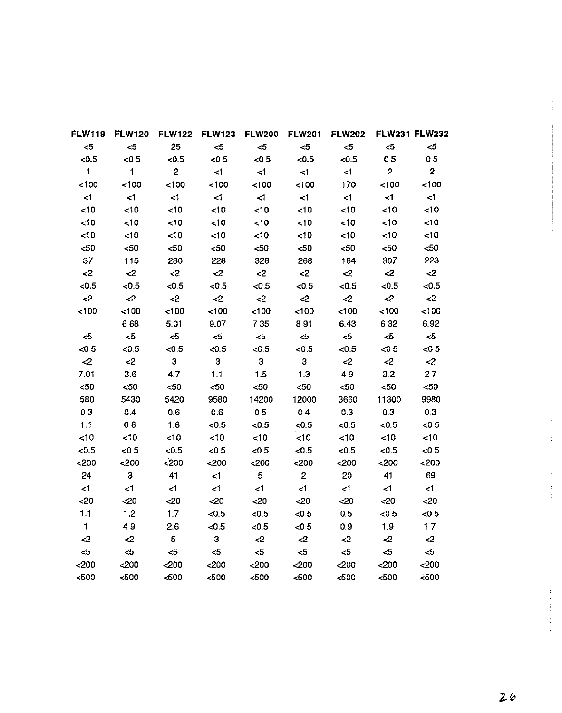| <b>FLW119</b> | <b>FLW120</b>           | <b>FLW122</b>  | <b>FLW123</b> | <b>FLW200</b> | <b>FLW201</b>  | <b>FLW202</b> |                | <b>FLW231 FLW232</b> |
|---------------|-------------------------|----------------|---------------|---------------|----------------|---------------|----------------|----------------------|
| $<$ 5         | $\leq$                  | 25             | $<$ 5         | $<$ 5         | $\leq$         | $<$ 5         | $5$            | $\leq 5$             |
| < 0.5         | < 0.5                   | < 0.5          | <0.5          | < 0.5         | < 0.5          | <0.5          | 0.5            | 0.5                  |
| $\mathbf{1}$  | $\mathbf{1}$            | $\overline{2}$ | $\leq$ 1      | $\leq$ 1      | $\leq$ 1       | $\leq$ 1      | $\overline{2}$ | $\overline{2}$       |
| 100           | < 100                   | 100            | 100           | 100           | < 100          | 170           | 100            | 100                  |
| $\leq 1$      | $\leq$ 1                | $\leq 1$       | $\leq 1$      | $\leq 1$      | $\leq 1$       | $\leq$ 1      | $\leq$ 1       | $\leq$               |
| <10           | <10                     | <10            | 10            | <10           | < 10           | <10           | 10             | 10                   |
| <10           | <10                     | <10            | <10           | <10           | <10            | <10           | <10            | <10                  |
| <10           | <10                     | $\leq 10$      | < 10          | < 10          | <10            | 10            | <10            | $\lt 10$             |
| $50$          | $50$                    | $50$           | $50$          | $50$          | $50$           | $50$          | $50$           | $50$                 |
| 37            | 115                     | 230            | 228           | 326           | 268            | 164           | 307            | 223                  |
| $\leq$        | $\leq$                  | $2$            | $2$           | $\leq$        | $<$ 2          | $\leq$        | $\leq$         | $\leq$               |
| < 0.5         | < 0.5                   | < 0.5          | < 0.5         | < 0.5         | < 0.5          | < 0.5         | < 0.5          | < 0.5                |
| $\leq$        | $\leq$                  | $\leq$         | $2$           | $2$           | $\leq$         | $\leq$        | $\leq$         | $\leq$               |
| 100           | 100                     | 100            | < 100         | 100           | 100            | < 100         | 100            | 100                  |
|               | 6.68                    | 5.01           | 9.07          | 7.35          | 8.91           | 6.43          | 6.32           | 6.92                 |
| $<$ 5         | $5$                     | $<$ 5          | $<$ 5         | $<$ 5         | $5 -$          | $\leq$        | $\leq$         | $\leq 5$             |
| < 0.5         | < 0.5                   | < 0.5          | < 0.5         | < 0.5         | < 0.5          | < 0.5         | < 0.5          | < 0.5                |
| $2$           | $\leq$ 2                | 3              | 3             | 3             | 3              | $\leq$        | $\mathbf{<}2$  | $\leq$               |
| 7.01          | 3.6                     | 4.7            | 1.1           | 1.5           | 1.3            | 4.9           | 3.2            | 2.7                  |
| $50$          | $50$                    | $50$           | $50$          | $50$          | $50$           | $50$          | $50$           | $50$                 |
| 580           | 5430                    | 5420           | 9580          | 14200         | 12000          | 3660          | 11300          | 9980                 |
| 0.3           | 0.4                     | 06             | 0.6           | 0.5           | 0.4            | 0.3           | 0.3            | 03                   |
| 1.1           | 0.6                     | 16             | < 0.5         | < 0.5         | < 0.5          | < 0.5         | <0.5           | < 0.5                |
| < 10          | < 10                    | < 10           | ~10           | < 10          | < 10           | <10           | 10             | 10                   |
| < 0.5         | < 0.5                   | < 0.5          | < 0.5         | < 0.5         | < 0.5          | <0.5          | < 0.5          | < 0.5                |
| 200           | 200                     | $200$          | $200$         | $200$         | $200$          | $200$         | $200$          | $200$                |
| 24            | $\overline{\mathbf{3}}$ | 41             | $\leq 1$      | 5             | $\overline{2}$ | 20            | 41             | 69                   |
| $\leq 1$      | $\leq$ 1                | $\leq$         | $\leq 1$      | $\leq 1$      | $\leq$ 1       | $\leq 1$      | $\leq 1$       | $\leq 1$             |
| <20           | <20                     | $20$           | <20           | 20            | <20            | <20           | $20$           | <20                  |
| 1.1           | 1.2                     | 1.7            | < 0.5         | < 0.5         | < 0.5          | 0.5           | < 0.5          | < 0.5                |
| $\mathbf{I}$  | 4.9                     | 26             | < 0.5         | < 0.5         | < 0.5          | 0.9           | 19             | 17                   |
| $\mathbf{<}2$ | $2$                     | 5 <sub>5</sub> | 3             | $\leq$        | $\leq$         | $\leq$        | $2$            | $\leq$               |
| <5            | $<$ 5                   | $\leq 5$       | $5$           | $<$ 5         | $<$ 5          | $<$ 5         | $5$            | $\leq 5$             |
| $200$         | $200$                   | $200$          | $200$         | 200           | $200$          | $200$         | $200$          | $200$                |
| $500$         | $500$                   | $500$          | $500$         | $500$         | $500$          | $500$         | $500$          | 500                  |